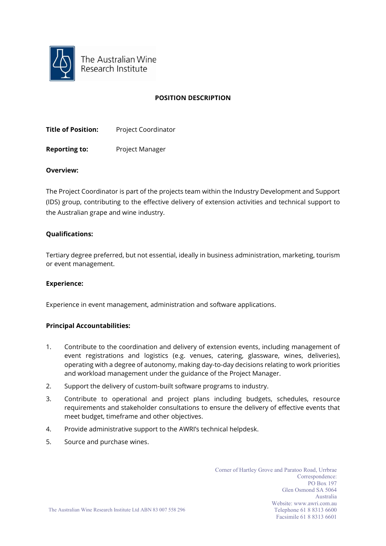

The Australian Wine Research Institute

## **POSITION DESCRIPTION**

**Title of Position:** Project Coordinator

**Reporting to:** Project Manager

## **Overview:**

The Project Coordinator is part of the projects team within the Industry Development and Support (IDS) group, contributing to the effective delivery of extension activities and technical support to the Australian grape and wine industry.

## **Qualifications:**

Tertiary degree preferred, but not essential, ideally in business administration, marketing, tourism or event management.

#### **Experience:**

Experience in event management, administration and software applications.

# **Principal Accountabilities:**

- 1. Contribute to the coordination and delivery of extension events, including management of event registrations and logistics (e.g. venues, catering, glassware, wines, deliveries), operating with a degree of autonomy, making day-to-day decisions relating to work priorities and workload management under the guidance of the Project Manager.
- 2. Support the delivery of custom-built software programs to industry.
- 3. Contribute to operational and project plans including budgets, schedules, resource requirements and stakeholder consultations to ensure the delivery of effective events that meet budget, timeframe and other objectives.
- 4. Provide administrative support to the AWRI's technical helpdesk.
- 5. Source and purchase wines.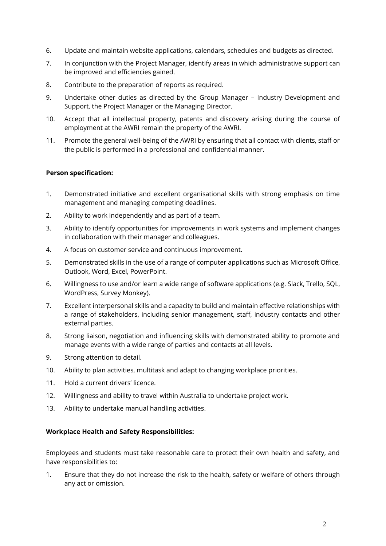- 6. Update and maintain website applications, calendars, schedules and budgets as directed.
- 7. In conjunction with the Project Manager, identify areas in which administrative support can be improved and efficiencies gained.
- 8. Contribute to the preparation of reports as required.
- 9. Undertake other duties as directed by the Group Manager Industry Development and Support, the Project Manager or the Managing Director.
- 10. Accept that all intellectual property, patents and discovery arising during the course of employment at the AWRI remain the property of the AWRI.
- 11. Promote the general well-being of the AWRI by ensuring that all contact with clients, staff or the public is performed in a professional and confidential manner.

## **Person specification:**

- 1. Demonstrated initiative and excellent organisational skills with strong emphasis on time management and managing competing deadlines.
- 2. Ability to work independently and as part of a team.
- 3. Ability to identify opportunities for improvements in work systems and implement changes in collaboration with their manager and colleagues.
- 4. A focus on customer service and continuous improvement.
- 5. Demonstrated skills in the use of a range of computer applications such as Microsoft Office, Outlook, Word, Excel, PowerPoint.
- 6. Willingness to use and/or learn a wide range of software applications (e.g. Slack, Trello, SQL, WordPress, Survey Monkey).
- 7. Excellent interpersonal skills and a capacity to build and maintain effective relationships with a range of stakeholders, including senior management, staff, industry contacts and other external parties.
- 8. Strong liaison, negotiation and influencing skills with demonstrated ability to promote and manage events with a wide range of parties and contacts at all levels.
- 9. Strong attention to detail.
- 10. Ability to plan activities, multitask and adapt to changing workplace priorities.
- 11. Hold a current drivers' licence.
- 12. Willingness and ability to travel within Australia to undertake project work.
- 13. Ability to undertake manual handling activities.

# **Workplace Health and Safety Responsibilities:**

Employees and students must take reasonable care to protect their own health and safety, and have responsibilities to:

1. Ensure that they do not increase the risk to the health, safety or welfare of others through any act or omission.